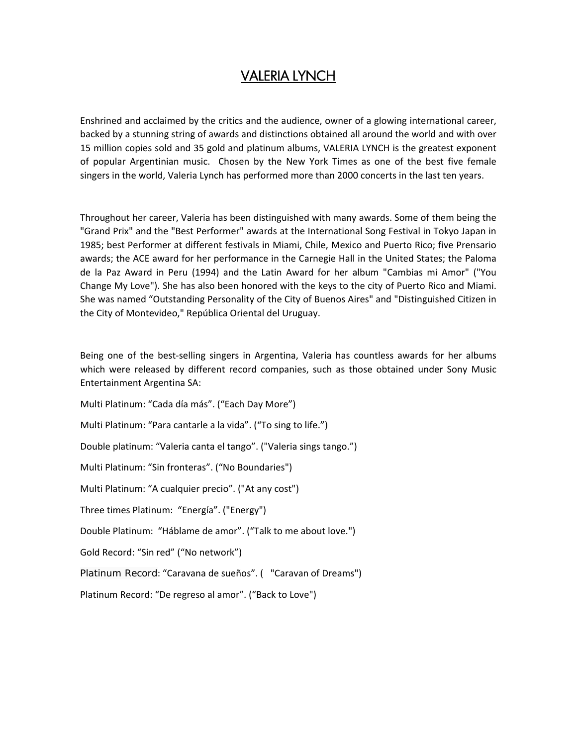# VALERIA LYNCH

Enshrined and acclaimed by the critics and the audience, owner of a glowing international career, backed by a stunning string of awards and distinctions obtained all around the world and with over 15 million copies sold and 35 gold and platinum albums, VALERIA LYNCH is the greatest exponent of popular Argentinian music. Chosen by the New York Times as one of the best five female singers in the world, Valeria Lynch has performed more than 2000 concerts in the last ten years.

Throughout her career, Valeria has been distinguished with many awards. Some of them being the "Grand Prix" and the "Best Performer" awards at the International Song Festival in Tokyo Japan in 1985; best Performer at different festivals in Miami, Chile, Mexico and Puerto Rico; five Prensario awards; the ACE award for her performance in the Carnegie Hall in the United States; the Paloma de la Paz Award in Peru (1994) and the Latin Award for her album "Cambias mi Amor" ("You Change My Love"). She has also been honored with the keys to the city of Puerto Rico and Miami. She was named "Outstanding Personality of the City of Buenos Aires" and "Distinguished Citizen in the City of Montevideo," República Oriental del Uruguay.

Being one of the best-selling singers in Argentina, Valeria has countless awards for her albums which were released by different record companies, such as those obtained under Sony Music Entertainment Argentina SA:

Multi Platinum: "Cada día más". ("Each Day More") Multi Platinum: "Para cantarle a la vida". ("To sing to life.") Double platinum: "Valeria canta el tango". ("Valeria sings tango.") Multi Platinum: "Sin fronteras". ("No Boundaries") Multi Platinum: "A cualquier precio". ("At any cost") Three times Platinum: "Energía". ("Energy") Double Platinum: "Háblame de amor". ("Talk to me about love.") Gold Record: "Sin red" ("No network") Platinum Record: "Caravana de sueños". ( "Caravan of Dreams") Platinum Record: "De regreso al amor". ("Back to Love")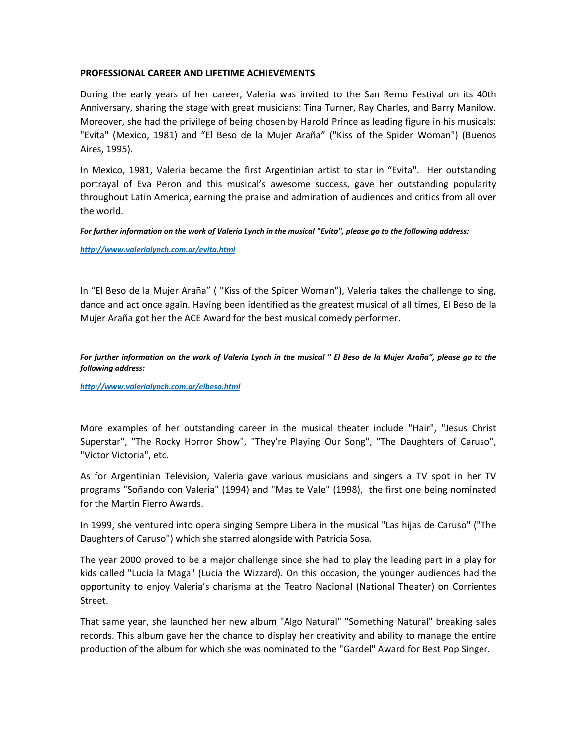#### **PROFESSIONAL CAREER AND LIFETIME ACHIEVEMENTS**

During the early years of her career, Valeria was invited to the San Remo Festival on its 40th Anniversary, sharing the stage with great musicians: Tina Turner, Ray Charles, and Barry Manilow. Moreover, she had the privilege of being chosen by Harold Prince as leading figure in his musicals: "Evita" (Mexico, 1981) and "El Beso de la Mujer Araña" ("Kiss of the Spider Woman") (Buenos Aires, 1995).

In Mexico, 1981, Valeria became the first Argentinian artist to star in "Evita". Her outstanding portrayal of Eva Peron and this musical's awesome success, gave her outstanding popularity throughout Latin America, earning the praise and admiration of audiences and critics from all over the world.

#### For further information on the work of Valeria Lynch in the musical "Evita", please go to the following address:

*<http://www.valerialynch.com.ar/evita.html>*

In "El Beso de la Mujer Araña" ( "Kiss of the Spider Woman"), Valeria takes the challenge to sing, dance and act once again. Having been identified as the greatest musical of all times, El Beso de la Mujer Araña got her the ACE Award for the best musical comedy performer.

For further information on the work of Valeria Lynch in the musical " El Beso de la Mujer Araña", please go to the *following address:* 

*<http://www.valerialynch.com.ar/elbeso.html>*

More examples of her outstanding career in the musical theater include "Hair", "Jesus Christ Superstar", "The Rocky Horror Show", "They're Playing Our Song", "The Daughters of Caruso", "Victor Victoria", etc.

As for Argentinian Television, Valeria gave various musicians and singers a TV spot in her TV programs "Soñando con Valeria" (1994) and "Mas te Vale" (1998), the first one being nominated for the Martin Fierro Awards.

In 1999, she ventured into opera singing Sempre Libera in the musical "Las hijas de Caruso" ("The Daughters of Caruso") which she starred alongside with Patricia Sosa.

The year 2000 proved to be a major challenge since she had to play the leading part in a play for kids called "Lucia la Maga" (Lucia the Wizzard). On this occasion, the younger audiences had the opportunity to enjoy Valeria's charisma at the Teatro Nacional (National Theater) on Corrientes Street.

That same year, she launched her new album "Algo Natural" "Something Natural" breaking sales records. This album gave her the chance to display her creativity and ability to manage the entire production of the album for which she was nominated to the "Gardel" Award for Best Pop Singer.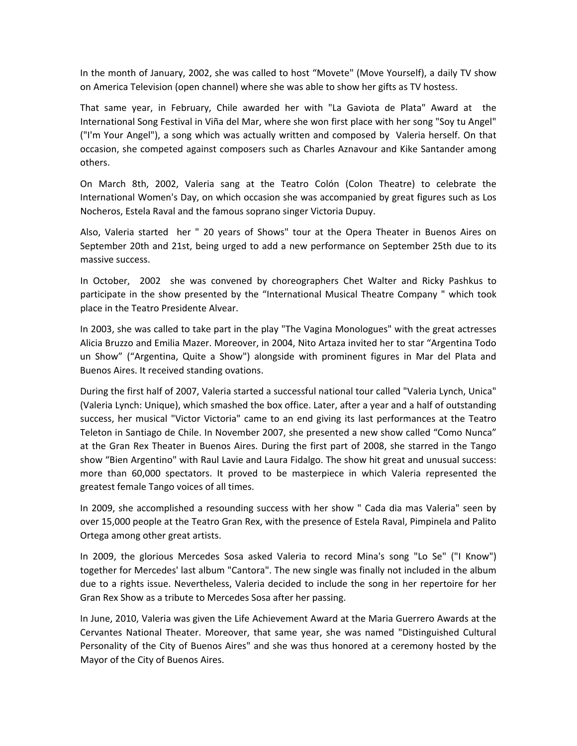In the month of January, 2002, she was called to host "Movete" (Move Yourself), a daily TV show on America Television (open channel) where she was able to show her gifts as TV hostess.

That same year, in February, Chile awarded her with "La Gaviota de Plata" Award at the International Song Festival in Viña del Mar, where she won first place with her song "Soy tu Angel" ("I'm Your Angel"), a song which was actually written and composed by Valeria herself. On that occasion, she competed against composers such as Charles Aznavour and Kike Santander among others.

On March 8th, 2002, Valeria sang at the Teatro Colón (Colon Theatre) to celebrate the International Women's Day, on which occasion she was accompanied by great figures such as Los Nocheros, Estela Raval and the famous soprano singer Victoria Dupuy.

Also, Valeria started her " 20 years of Shows" tour at the Opera Theater in Buenos Aires on September 20th and 21st, being urged to add a new performance on September 25th due to its massive success.

In October, 2002 she was convened by choreographers Chet Walter and Ricky Pashkus to participate in the show presented by the "International Musical Theatre Company " which took place in the Teatro Presidente Alvear.

In 2003, she was called to take part in the play "The Vagina Monologues" with the great actresses Alicia Bruzzo and Emilia Mazer. Moreover, in 2004, Nito Artaza invited her to star "Argentina Todo un Show" ("Argentina, Quite a Show") alongside with prominent figures in Mar del Plata and Buenos Aires. It received standing ovations.

During the first half of 2007, Valeria started a successful national tour called "Valeria Lynch, Unica" (Valeria Lynch: Unique), which smashed the box office. Later, after a year and a half of outstanding success, her musical "Victor Victoria" came to an end giving its last performances at the Teatro Teleton in Santiago de Chile. In November 2007, she presented a new show called "Como Nunca" at the Gran Rex Theater in Buenos Aires. During the first part of 2008, she starred in the Tango show "Bien Argentino" with Raul Lavie and Laura Fidalgo. The show hit great and unusual success: more than 60,000 spectators. It proved to be masterpiece in which Valeria represented the greatest female Tango voices of all times.

In 2009, she accomplished a resounding success with her show " Cada dia mas Valeria" seen by over 15,000 people at the Teatro Gran Rex, with the presence of Estela Raval, Pimpinela and Palito Ortega among other great artists.

In 2009, the glorious Mercedes Sosa asked Valeria to record Mina's song "Lo Se" ("I Know") together for Mercedes' last album "Cantora". The new single was finally not included in the album due to a rights issue. Nevertheless, Valeria decided to include the song in her repertoire for her Gran Rex Show as a tribute to Mercedes Sosa after her passing.

In June, 2010, Valeria was given the Life Achievement Award at the Maria Guerrero Awards at the Cervantes National Theater. Moreover, that same year, she was named "Distinguished Cultural Personality of the City of Buenos Aires" and she was thus honored at a ceremony hosted by the Mayor of the City of Buenos Aires.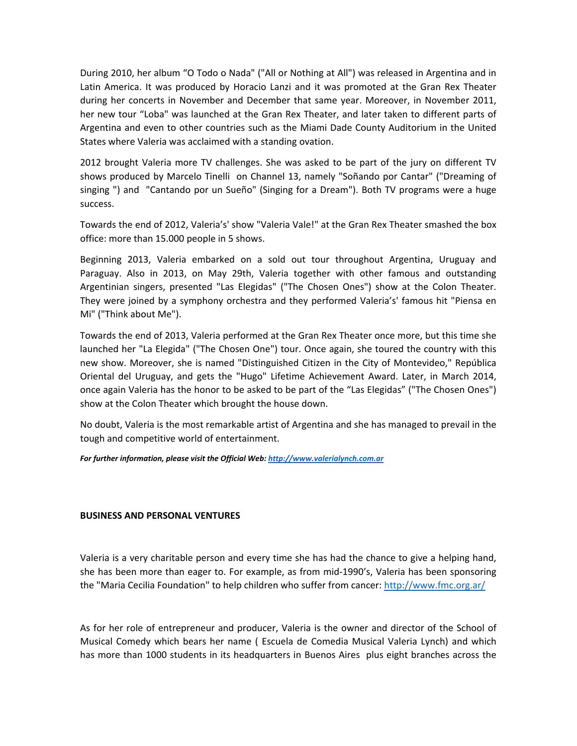During 2010, her album "O Todo o Nada" ("All or Nothing at All") was released in Argentina and in Latin America. It was produced by Horacio Lanzi and it was promoted at the Gran Rex Theater during her concerts in November and December that same year. Moreover, in November 2011, her new tour "Loba" was launched at the Gran Rex Theater, and later taken to different parts of Argentina and even to other countries such as the Miami Dade County Auditorium in the United States where Valeria was acclaimed with a standing ovation.

2012 brought Valeria more TV challenges. She was asked to be part of the jury on different TV shows produced by Marcelo Tinelli on Channel 13, namely "Soñando por Cantar" ("Dreaming of singing ") and "Cantando por un Sueño" (Singing for a Dream"). Both TV programs were a huge success.

Towards the end of 2012, Valeria's' show "Valeria Vale!" at the Gran Rex Theater smashed the box office: more than 15.000 people in 5 shows.

Beginning 2013, Valeria embarked on a sold out tour throughout Argentina, Uruguay and Paraguay. Also in 2013, on May 29th, Valeria together with other famous and outstanding Argentinian singers, presented "Las Elegidas" ("The Chosen Ones") show at the Colon Theater. They were joined by a symphony orchestra and they performed Valeria's' famous hit "Piensa en Mi" ("Think about Me").

Towards the end of 2013, Valeria performed at the Gran Rex Theater once more, but this time she launched her "La Elegida" ("The Chosen One") tour. Once again, she toured the country with this new show. Moreover, she is named "Distinguished Citizen in the City of Montevideo," República Oriental del Uruguay, and gets the "Hugo" Lifetime Achievement Award. Later, in March 2014, once again Valeria has the honor to be asked to be part of the "Las Elegidas" ("The Chosen Ones") show at the Colon Theater which brought the house down.

No doubt, Valeria is the most remarkable artist of Argentina and she has managed to prevail in the tough and competitive world of entertainment.

*For further information, please visit the Official Web: [http://www.valerialynch.com.ar](http://www.valerialynch.com.ar/)*

## **BUSINESS AND PERSONAL VENTURES**

Valeria is a very charitable person and every time she has had the chance to give a helping hand, she has been more than eager to. For example, as from mid‐1990's, Valeria has been sponsoring the "Maria Cecilia Foundation" to help children who suffer from cancer: <http://www.fmc.org.ar/>

As for her role of entrepreneur and producer, Valeria is the owner and director of the School of Musical Comedy which bears her name ( Escuela de Comedia Musical Valeria Lynch) and which has more than 1000 students in its headquarters in Buenos Aires plus eight branches across the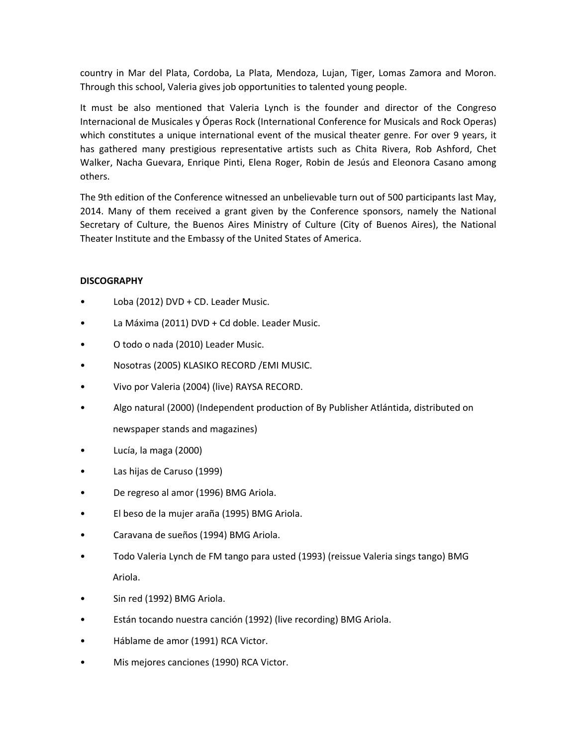country in Mar del Plata, Cordoba, La Plata, Mendoza, Lujan, Tiger, Lomas Zamora and Moron. Through this school, Valeria gives job opportunities to talented young people.

It must be also mentioned that Valeria Lynch is the founder and director of the Congreso Internacional de Musicales y Óperas Rock (International Conference for Musicals and Rock Operas) which constitutes a unique international event of the musical theater genre. For over 9 years, it has gathered many prestigious representative artists such as Chita Rivera, Rob Ashford, Chet Walker, Nacha Guevara, Enrique Pinti, Elena Roger, Robin de Jesús and Eleonora Casano among others.

The 9th edition of the Conference witnessed an unbelievable turn out of 500 participants last May, 2014. Many of them received a grant given by the Conference sponsors, namely the National Secretary of Culture, the Buenos Aires Ministry of Culture (City of Buenos Aires), the National Theater Institute and the Embassy of the United States of America.

## **DISCOGRAPHY**

- Loba (2012) DVD + CD. Leader Music.
- La Máxima (2011) DVD + Cd doble. Leader Music.
- O todo o nada (2010) Leader Music.
- Nosotras (2005) KLASIKO RECORD /EMI MUSIC.
- Vivo por Valeria (2004) (live) RAYSA RECORD.
- Algo natural (2000) (Independent production of By Publisher Atlántida, distributed on newspaper stands and magazines)
- Lucía, la maga (2000)
- Las hijas de Caruso (1999)
- De regreso al amor (1996) BMG Ariola.
- El beso de la mujer araña (1995) BMG Ariola.
- Caravana de sueños (1994) BMG Ariola.
- Todo Valeria Lynch de FM tango para usted (1993) (reissue Valeria sings tango) BMG Ariola.
- Sin red (1992) BMG Ariola.
- Están tocando nuestra canción (1992) (live recording) BMG Ariola.
- Háblame de amor (1991) RCA Victor.
- Mis mejores canciones (1990) RCA Victor.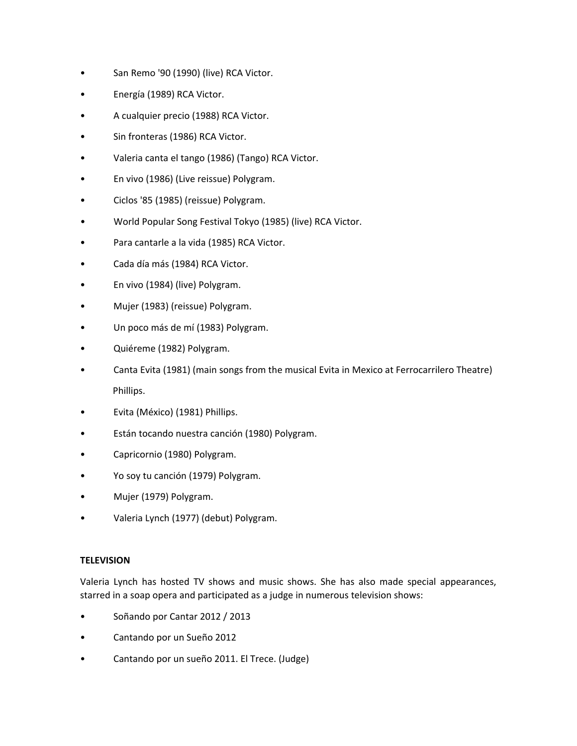- San Remo '90 (1990) (live) RCA Victor.
- Energía (1989) RCA Victor.
- A cualquier precio (1988) RCA Victor.
- Sin fronteras (1986) RCA Victor.
- Valeria canta el tango (1986) (Tango) RCA Victor.
- En vivo (1986) (Live reissue) Polygram.
- Ciclos '85 (1985) (reissue) Polygram.
- World Popular Song Festival Tokyo (1985) (live) RCA Victor.
- Para cantarle a la vida (1985) RCA Victor.
- Cada día más (1984) RCA Victor.
- En vivo (1984) (live) Polygram.
- Mujer (1983) (reissue) Polygram.
- Un poco más de mí (1983) Polygram.
- Quiéreme (1982) Polygram.
- Canta Evita (1981) (main songs from the musical Evita in Mexico at Ferrocarrilero Theatre) Phillips.
- Evita (México) (1981) Phillips.
- Están tocando nuestra canción (1980) Polygram.
- Capricornio (1980) Polygram.
- Yo soy tu canción (1979) Polygram.
- Mujer (1979) Polygram.
- Valeria Lynch (1977) (debut) Polygram.

# **TELEVISION**

Valeria Lynch has hosted TV shows and music shows. She has also made special appearances, starred in a soap opera and participated as a judge in numerous television shows:

- Soñando por Cantar 2012 / 2013
- Cantando por un Sueño 2012
- Cantando por un sueño 2011. El Trece. (Judge)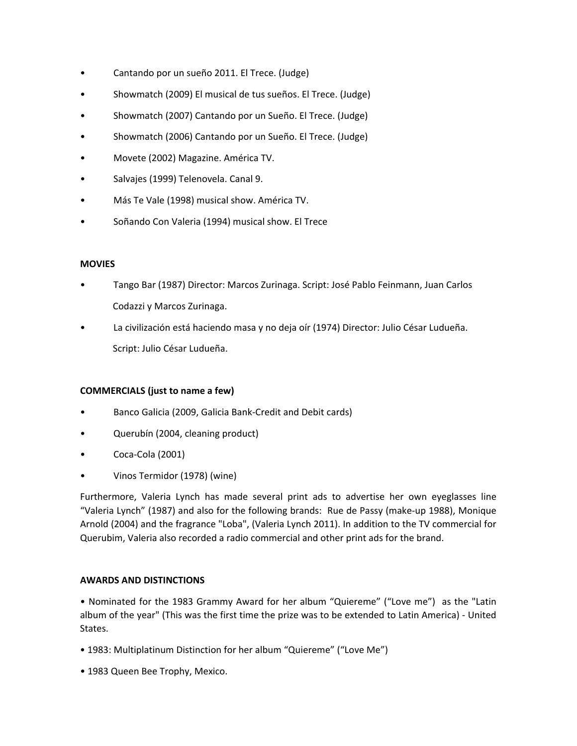- Cantando por un sueño 2011. El Trece. (Judge)
- Showmatch (2009) El musical de tus sueños. El Trece. (Judge)
- Showmatch (2007) Cantando por un Sueño. El Trece. (Judge)
- Showmatch (2006) Cantando por un Sueño. El Trece. (Judge)
- Movete (2002) Magazine. América TV.
- Salvajes (1999) Telenovela. Canal 9.
- Más Te Vale (1998) musical show. América TV.
- Soñando Con Valeria (1994) musical show. El Trece

## **MOVIES**

- Tango Bar (1987) Director: Marcos Zurinaga. Script: José Pablo Feinmann, Juan Carlos Codazzi y Marcos Zurinaga.
- La civilización está haciendo masa y no deja oír (1974) Director: Julio César Ludueña. Script: Julio César Ludueña.

# **COMMERCIALS (just to name a few)**

- Banco Galicia (2009, Galicia Bank‐Credit and Debit cards)
- Querubín (2004, cleaning product)
- Coca‐Cola (2001)
- Vinos Termidor (1978) (wine)

Furthermore, Valeria Lynch has made several print ads to advertise her own eyeglasses line "Valeria Lynch" (1987) and also for the following brands: Rue de Passy (make‐up 1988), Monique Arnold (2004) and the fragrance "Loba", (Valeria Lynch 2011). In addition to the TV commercial for Querubim, Valeria also recorded a radio commercial and other print ads for the brand.

## **AWARDS AND DISTINCTIONS**

• Nominated for the 1983 Grammy Award for her album "Quiereme" ("Love me") as the "Latin album of the year" (This was the first time the prize was to be extended to Latin America) ‐ United States.

- 1983: Multiplatinum Distinction for her album "Quiereme" ("Love Me")
- 1983 Queen Bee Trophy, Mexico.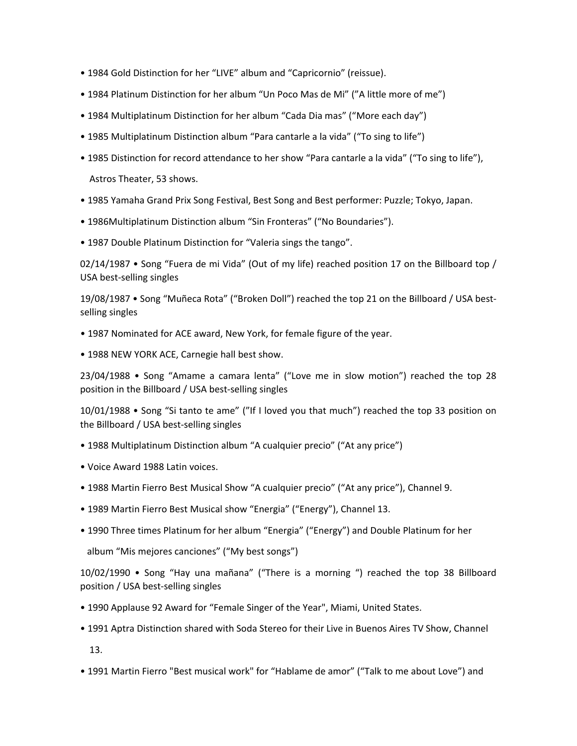- 1984 Gold Distinction for her "LIVE" album and "Capricornio" (reissue).
- 1984 Platinum Distinction for her album "Un Poco Mas de Mi" ("A little more of me")
- 1984 Multiplatinum Distinction for her album "Cada Dia mas" ("More each day")
- 1985 Multiplatinum Distinction album "Para cantarle a la vida" ("To sing to life")
- 1985 Distinction for record attendance to her show "Para cantarle a la vida" ("To sing to life"), Astros Theater, 53 shows.
- 1985 Yamaha Grand Prix Song Festival, Best Song and Best performer: Puzzle; Tokyo, Japan.
- 1986Multiplatinum Distinction album "Sin Fronteras" ("No Boundaries").
- 1987 Double Platinum Distinction for "Valeria sings the tango".

02/14/1987 • Song "Fuera de mi Vida" (Out of my life) reached position 17 on the Billboard top / USA best‐selling singles

19/08/1987 • Song "Muñeca Rota" ("Broken Doll") reached the top 21 on the Billboard / USA best‐ selling singles

- 1987 Nominated for ACE award, New York, for female figure of the year.
- 1988 NEW YORK ACE, Carnegie hall best show.

23/04/1988 • Song "Amame a camara lenta" ("Love me in slow motion") reached the top 28 position in the Billboard / USA best‐selling singles

10/01/1988 • Song "Si tanto te ame" ("If I loved you that much") reached the top 33 position on the Billboard / USA best‐selling singles

- 1988 Multiplatinum Distinction album "A cualquier precio" ("At any price")
- Voice Award 1988 Latin voices.
- 1988 Martin Fierro Best Musical Show "A cualquier precio" ("At any price"), Channel 9.
- 1989 Martin Fierro Best Musical show "Energia" ("Energy"), Channel 13.
- 1990 Three times Platinum for her album "Energia" ("Energy") and Double Platinum for her

album "Mis mejores canciones" ("My best songs")

10/02/1990 • Song "Hay una mañana" ("There is a morning ") reached the top 38 Billboard position / USA best‐selling singles

- 1990 Applause 92 Award for "Female Singer of the Year", Miami, United States.
- 1991 Aptra Distinction shared with Soda Stereo for their Live in Buenos Aires TV Show, Channel

13.

• 1991 Martin Fierro "Best musical work" for "Hablame de amor" ("Talk to me about Love") and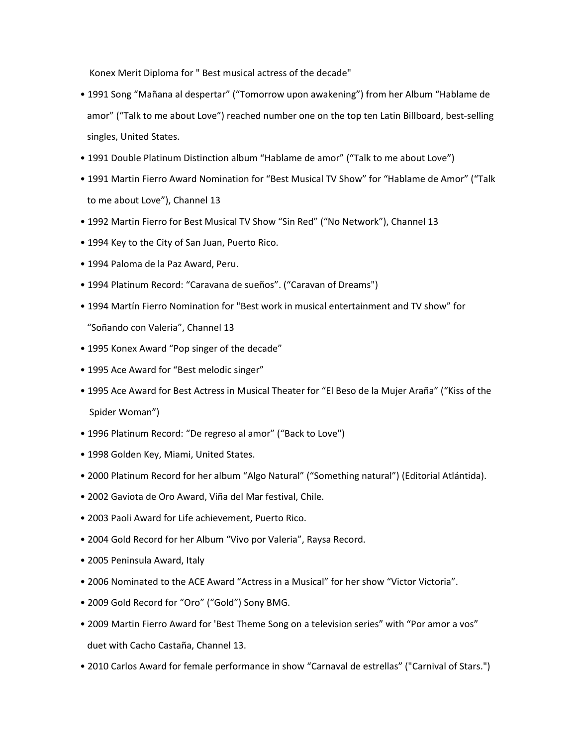Konex Merit Diploma for " Best musical actress of the decade"

- 1991 Song "Mañana al despertar" ("Tomorrow upon awakening") from her Album "Hablame de amor" ("Talk to me about Love") reached number one on the top ten Latin Billboard, best-selling singles, United States.
- 1991 Double Platinum Distinction album "Hablame de amor" ("Talk to me about Love")
- 1991 Martin Fierro Award Nomination for "Best Musical TV Show" for "Hablame de Amor" ("Talk to me about Love"), Channel 13
- 1992 Martin Fierro for Best Musical TV Show "Sin Red" ("No Network"), Channel 13
- 1994 Key to the City of San Juan, Puerto Rico.
- 1994 Paloma de la Paz Award, Peru.
- 1994 Platinum Record: "Caravana de sueños". ("Caravan of Dreams")
- 1994 Martín Fierro Nomination for "Best work in musical entertainment and TV show" for "Soñando con Valeria", Channel 13
- 1995 Konex Award "Pop singer of the decade"
- 1995 Ace Award for "Best melodic singer"
- 1995 Ace Award for Best Actress in Musical Theater for "El Beso de la Mujer Araña" ("Kiss of the Spider Woman")
- 1996 Platinum Record: "De regreso al amor" ("Back to Love")
- 1998 Golden Key, Miami, United States.
- 2000 Platinum Record for her album "Algo Natural" ("Something natural") (Editorial Atlántida).
- 2002 Gaviota de Oro Award, Viña del Mar festival, Chile.
- 2003 Paoli Award for Life achievement, Puerto Rico.
- 2004 Gold Record for her Album "Vivo por Valeria", Raysa Record.
- 2005 Peninsula Award, Italy
- 2006 Nominated to the ACE Award "Actress in a Musical" for her show "Victor Victoria".
- 2009 Gold Record for "Oro" ("Gold") Sony BMG.
- 2009 Martin Fierro Award for 'Best Theme Song on a television series" with "Por amor a vos" duet with Cacho Castaña, Channel 13.
- 2010 Carlos Award for female performance in show "Carnaval de estrellas" ("Carnival of Stars.")